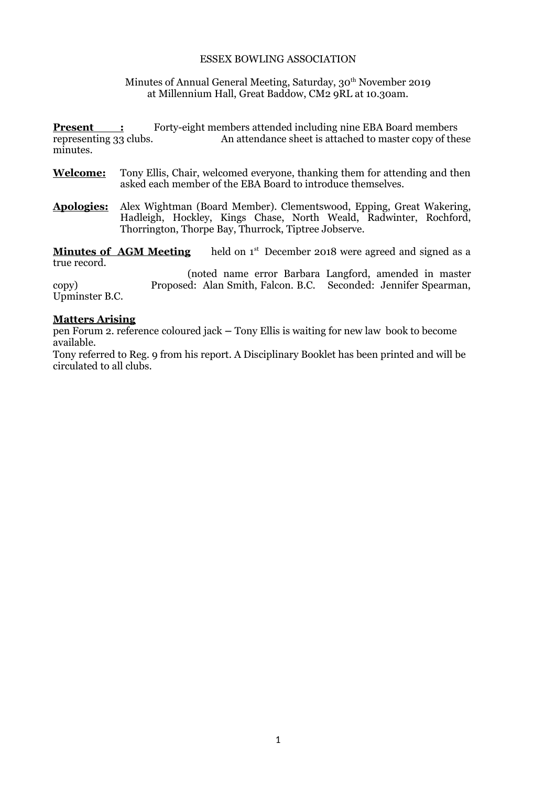#### ESSEX BOWLING ASSOCIATION

#### Minutes of Annual General Meeting, Saturday, 30<sup>th</sup> November 2019 at Millennium Hall, Great Baddow, CM2 9RL at 10.30am.

**Present :** Forty-eight members attended including nine EBA Board members representing 33 clubs. An attendance sheet is attached to master copy of the An attendance sheet is attached to master copy of these minutes.

- **Welcome:** Tony Ellis, Chair, welcomed everyone, thanking them for attending and then asked each member of the EBA Board to introduce themselves.
- **Apologies:** Alex Wightman (Board Member). Clementswood, Epping, Great Wakering, Hadleigh, Hockley, Kings Chase, North Weald, Radwinter, Rochford, Thorrington, Thorpe Bay, Thurrock, Tiptree Jobserve.

**Minutes of AGM Meeting** held on 1<sup>st</sup> December 2018 were agreed and signed as a true record.

(noted name error Barbara Langford, amended in master copy) Proposed: Alan Smith, Falcon. B.C. Seconded: Jennifer Spearman, Upminster B.C.

#### **Matters Arising**

pen Forum 2. reference coloured jack **–** Tony Ellis is waiting for new law book to become available.

Tony referred to Reg. 9 from his report. A Disciplinary Booklet has been printed and will be circulated to all clubs.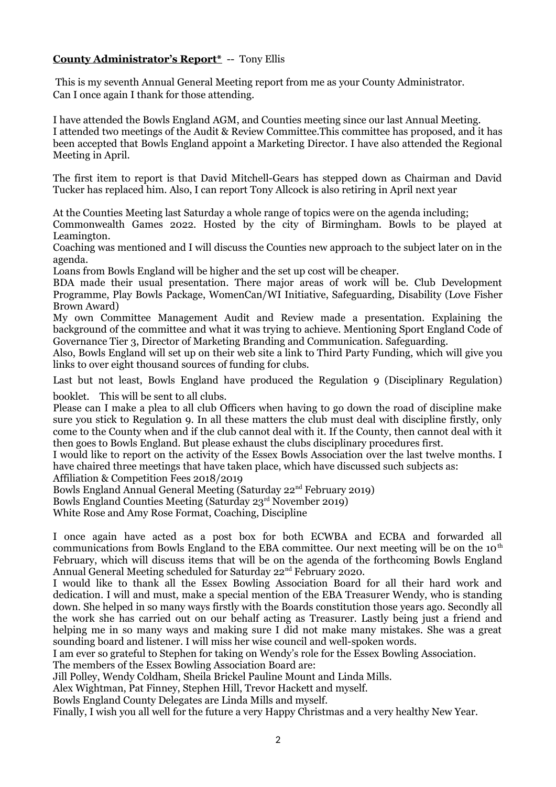# **County Administrator's Report\*** -- Tony Ellis

 This is my seventh Annual General Meeting report from me as your County Administrator. Can I once again I thank for those attending.

I have attended the Bowls England AGM, and Counties meeting since our last Annual Meeting. I attended two meetings of the Audit & Review Committee.This committee has proposed, and it has been accepted that Bowls England appoint a Marketing Director. I have also attended the Regional Meeting in April.

The first item to report is that David Mitchell-Gears has stepped down as Chairman and David Tucker has replaced him. Also, I can report Tony Allcock is also retiring in April next year

At the Counties Meeting last Saturday a whole range of topics were on the agenda including;

Commonwealth Games 2022. Hosted by the city of Birmingham. Bowls to be played at Leamington.

Coaching was mentioned and I will discuss the Counties new approach to the subject later on in the agenda.

Loans from Bowls England will be higher and the set up cost will be cheaper.

BDA made their usual presentation. There major areas of work will be. Club Development Programme, Play Bowls Package, WomenCan/WI Initiative, Safeguarding, Disability (Love Fisher Brown Award)

My own Committee Management Audit and Review made a presentation. Explaining the background of the committee and what it was trying to achieve. Mentioning Sport England Code of Governance Tier 3, Director of Marketing Branding and Communication. Safeguarding.

Also, Bowls England will set up on their web site a link to Third Party Funding, which will give you links to over eight thousand sources of funding for clubs.

Last but not least, Bowls England have produced the Regulation 9 (Disciplinary Regulation) booklet. This will be sent to all clubs.

Please can I make a plea to all club Officers when having to go down the road of discipline make sure you stick to Regulation 9. In all these matters the club must deal with discipline firstly, only come to the County when and if the club cannot deal with it. If the County, then cannot deal with it then goes to Bowls England. But please exhaust the clubs disciplinary procedures first.

I would like to report on the activity of the Essex Bowls Association over the last twelve months. I have chaired three meetings that have taken place, which have discussed such subjects as:

Affiliation & Competition Fees 2018/2019

Bowls England Annual General Meeting (Saturday 22nd February 2019)

Bowls England Counties Meeting (Saturday 23rd November 2019)

White Rose and Amy Rose Format, Coaching, Discipline

I once again have acted as a post box for both ECWBA and ECBA and forwarded all communications from Bowls England to the EBA committee. Our next meeting will be on the  $10<sup>th</sup>$ February, which will discuss items that will be on the agenda of the forthcoming Bowls England Annual General Meeting scheduled for Saturday 22<sup>nd</sup> February 2020.

I would like to thank all the Essex Bowling Association Board for all their hard work and dedication. I will and must, make a special mention of the EBA Treasurer Wendy, who is standing down. She helped in so many ways firstly with the Boards constitution those years ago. Secondly all the work she has carried out on our behalf acting as Treasurer. Lastly being just a friend and helping me in so many ways and making sure I did not make many mistakes. She was a great sounding board and listener. I will miss her wise council and well-spoken words.

I am ever so grateful to Stephen for taking on Wendy's role for the Essex Bowling Association.

The members of the Essex Bowling Association Board are:

Jill Polley, Wendy Coldham, Sheila Brickel Pauline Mount and Linda Mills.

Alex Wightman, Pat Finney, Stephen Hill, Trevor Hackett and myself.

Bowls England County Delegates are Linda Mills and myself.

Finally, I wish you all well for the future a very Happy Christmas and a very healthy New Year.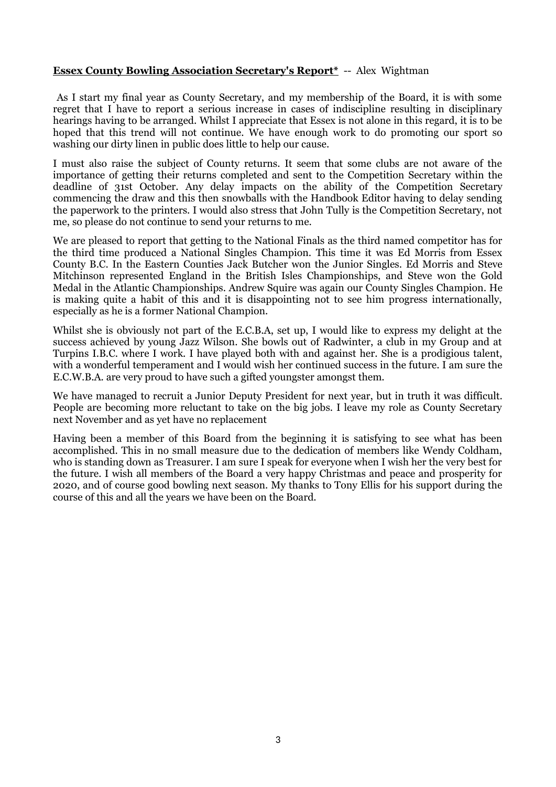#### **Essex County Bowling Association Secretary's Report\*** -- Alex Wightman

 As I start my final year as County Secretary, and my membership of the Board, it is with some regret that I have to report a serious increase in cases of indiscipline resulting in disciplinary hearings having to be arranged. Whilst I appreciate that Essex is not alone in this regard, it is to be hoped that this trend will not continue. We have enough work to do promoting our sport so washing our dirty linen in public does little to help our cause.

I must also raise the subject of County returns. It seem that some clubs are not aware of the importance of getting their returns completed and sent to the Competition Secretary within the deadline of 31st October. Any delay impacts on the ability of the Competition Secretary commencing the draw and this then snowballs with the Handbook Editor having to delay sending the paperwork to the printers. I would also stress that John Tully is the Competition Secretary, not me, so please do not continue to send your returns to me.

We are pleased to report that getting to the National Finals as the third named competitor has for the third time produced a National Singles Champion. This time it was Ed Morris from Essex County B.C. In the Eastern Counties Jack Butcher won the Junior Singles. Ed Morris and Steve Mitchinson represented England in the British Isles Championships, and Steve won the Gold Medal in the Atlantic Championships. Andrew Squire was again our County Singles Champion. He is making quite a habit of this and it is disappointing not to see him progress internationally, especially as he is a former National Champion.

Whilst she is obviously not part of the E.C.B.A, set up, I would like to express my delight at the success achieved by young Jazz Wilson. She bowls out of Radwinter, a club in my Group and at Turpins I.B.C. where I work. I have played both with and against her. She is a prodigious talent, with a wonderful temperament and I would wish her continued success in the future. I am sure the E.C.W.B.A. are very proud to have such a gifted youngster amongst them.

We have managed to recruit a Junior Deputy President for next year, but in truth it was difficult. People are becoming more reluctant to take on the big jobs. I leave my role as County Secretary next November and as yet have no replacement

Having been a member of this Board from the beginning it is satisfying to see what has been accomplished. This in no small measure due to the dedication of members like Wendy Coldham, who is standing down as Treasurer. I am sure I speak for everyone when I wish her the very best for the future. I wish all members of the Board a very happy Christmas and peace and prosperity for 2020, and of course good bowling next season. My thanks to Tony Ellis for his support during the course of this and all the years we have been on the Board.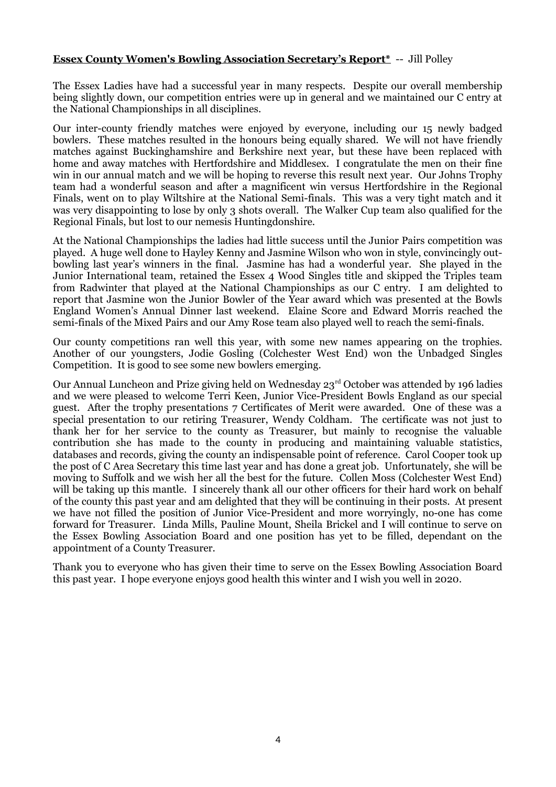### **Essex County Women's Bowling Association Secretary's Report\*** -- Jill Polley

The Essex Ladies have had a successful year in many respects. Despite our overall membership being slightly down, our competition entries were up in general and we maintained our C entry at the National Championships in all disciplines.

Our inter-county friendly matches were enjoyed by everyone, including our 15 newly badged bowlers. These matches resulted in the honours being equally shared. We will not have friendly matches against Buckinghamshire and Berkshire next year, but these have been replaced with home and away matches with Hertfordshire and Middlesex. I congratulate the men on their fine win in our annual match and we will be hoping to reverse this result next year. Our Johns Trophy team had a wonderful season and after a magnificent win versus Hertfordshire in the Regional Finals, went on to play Wiltshire at the National Semi-finals. This was a very tight match and it was very disappointing to lose by only 3 shots overall. The Walker Cup team also qualified for the Regional Finals, but lost to our nemesis Huntingdonshire.

At the National Championships the ladies had little success until the Junior Pairs competition was played. A huge well done to Hayley Kenny and Jasmine Wilson who won in style, convincingly outbowling last year's winners in the final. Jasmine has had a wonderful year. She played in the Junior International team, retained the Essex 4 Wood Singles title and skipped the Triples team from Radwinter that played at the National Championships as our C entry. I am delighted to report that Jasmine won the Junior Bowler of the Year award which was presented at the Bowls England Women's Annual Dinner last weekend. Elaine Score and Edward Morris reached the semi-finals of the Mixed Pairs and our Amy Rose team also played well to reach the semi-finals.

Our county competitions ran well this year, with some new names appearing on the trophies. Another of our youngsters, Jodie Gosling (Colchester West End) won the Unbadged Singles Competition. It is good to see some new bowlers emerging.

Our Annual Luncheon and Prize giving held on Wednesday 23<sup>rd</sup> October was attended by 196 ladies and we were pleased to welcome Terri Keen, Junior Vice-President Bowls England as our special guest. After the trophy presentations 7 Certificates of Merit were awarded. One of these was a special presentation to our retiring Treasurer, Wendy Coldham. The certificate was not just to thank her for her service to the county as Treasurer, but mainly to recognise the valuable contribution she has made to the county in producing and maintaining valuable statistics, databases and records, giving the county an indispensable point of reference. Carol Cooper took up the post of C Area Secretary this time last year and has done a great job. Unfortunately, she will be moving to Suffolk and we wish her all the best for the future. Collen Moss (Colchester West End) will be taking up this mantle. I sincerely thank all our other officers for their hard work on behalf of the county this past year and am delighted that they will be continuing in their posts. At present we have not filled the position of Junior Vice-President and more worryingly, no-one has come forward for Treasurer. Linda Mills, Pauline Mount, Sheila Brickel and I will continue to serve on the Essex Bowling Association Board and one position has yet to be filled, dependant on the appointment of a County Treasurer.

Thank you to everyone who has given their time to serve on the Essex Bowling Association Board this past year. I hope everyone enjoys good health this winter and I wish you well in 2020.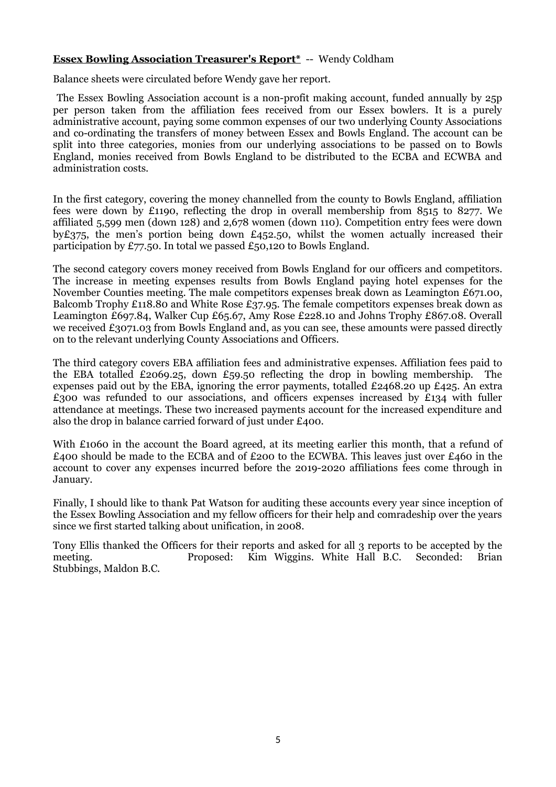#### **Essex Bowling Association Treasurer's Report\*** -- Wendy Coldham

Balance sheets were circulated before Wendy gave her report.

The Essex Bowling Association account is a non-profit making account, funded annually by 25p per person taken from the affiliation fees received from our Essex bowlers. It is a purely administrative account, paying some common expenses of our two underlying County Associations and co-ordinating the transfers of money between Essex and Bowls England. The account can be split into three categories, monies from our underlying associations to be passed on to Bowls England, monies received from Bowls England to be distributed to the ECBA and ECWBA and administration costs.

In the first category, covering the money channelled from the county to Bowls England, affiliation fees were down by £1190, reflecting the drop in overall membership from 8515 to 8277. We affiliated 5,599 men (down 128) and 2,678 women (down 110). Competition entry fees were down by $£375$ , the men's portion being down £452.50, whilst the women actually increased their participation by £77.50. In total we passed £50,120 to Bowls England.

The second category covers money received from Bowls England for our officers and competitors. The increase in meeting expenses results from Bowls England paying hotel expenses for the November Counties meeting. The male competitors expenses break down as Leamington £671.00, Balcomb Trophy £118.80 and White Rose £37.95. The female competitors expenses break down as Leamington £697.84, Walker Cup £65.67, Amy Rose £228.10 and Johns Trophy £867.08. Overall we received £3071.03 from Bowls England and, as you can see, these amounts were passed directly on to the relevant underlying County Associations and Officers.

The third category covers EBA affiliation fees and administrative expenses. Affiliation fees paid to the EBA totalled £2069.25, down £59.50 reflecting the drop in bowling membership. The expenses paid out by the EBA, ignoring the error payments, totalled £2468.20 up £425. An extra  $£300$  was refunded to our associations, and officers expenses increased by  $£134$  with fuller attendance at meetings. These two increased payments account for the increased expenditure and also the drop in balance carried forward of just under £400.

With £1060 in the account the Board agreed, at its meeting earlier this month, that a refund of  $\epsilon$ 400 should be made to the ECBA and of  $\epsilon$ 200 to the ECWBA. This leaves just over  $\epsilon$ 460 in the account to cover any expenses incurred before the 2019-2020 affiliations fees come through in January.

Finally, I should like to thank Pat Watson for auditing these accounts every year since inception of the Essex Bowling Association and my fellow officers for their help and comradeship over the years since we first started talking about unification, in 2008.

Tony Ellis thanked the Officers for their reports and asked for all 3 reports to be accepted by the meeting. Proposed: Kim Wiggins. White Hall B.C. Seconded: Brian Stubbings, Maldon B.C.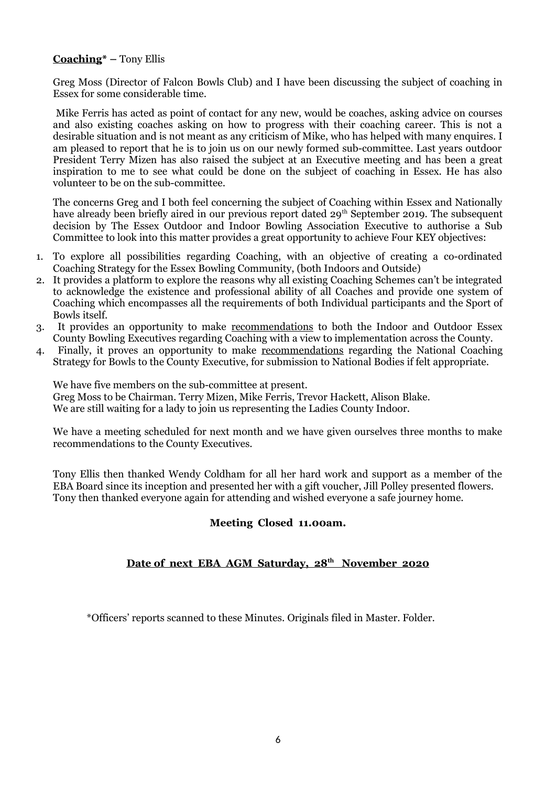# **Coaching\* –** Tony Ellis

Greg Moss (Director of Falcon Bowls Club) and I have been discussing the subject of coaching in Essex for some considerable time.

 Mike Ferris has acted as point of contact for any new, would be coaches, asking advice on courses and also existing coaches asking on how to progress with their coaching career. This is not a desirable situation and is not meant as any criticism of Mike, who has helped with many enquires. I am pleased to report that he is to join us on our newly formed sub-committee. Last years outdoor President Terry Mizen has also raised the subject at an Executive meeting and has been a great inspiration to me to see what could be done on the subject of coaching in Essex. He has also volunteer to be on the sub-committee.

The concerns Greg and I both feel concerning the subject of Coaching within Essex and Nationally have already been briefly aired in our previous report dated 29<sup>th</sup> September 2019. The subsequent decision by The Essex Outdoor and Indoor Bowling Association Executive to authorise a Sub Committee to look into this matter provides a great opportunity to achieve Four KEY objectives:

- 1. To explore all possibilities regarding Coaching, with an objective of creating a co-ordinated Coaching Strategy for the Essex Bowling Community, (both Indoors and Outside)
- 2. It provides a platform to explore the reasons why all existing Coaching Schemes can't be integrated to acknowledge the existence and professional ability of all Coaches and provide one system of Coaching which encompasses all the requirements of both Individual participants and the Sport of Bowls itself.
- 3. It provides an opportunity to make recommendations to both the Indoor and Outdoor Essex County Bowling Executives regarding Coaching with a view to implementation across the County.
- 4. Finally, it proves an opportunity to make recommendations regarding the National Coaching Strategy for Bowls to the County Executive, for submission to National Bodies if felt appropriate.

We have five members on the sub-committee at present. Greg Moss to be Chairman. Terry Mizen, Mike Ferris, Trevor Hackett, Alison Blake. We are still waiting for a lady to join us representing the Ladies County Indoor.

We have a meeting scheduled for next month and we have given ourselves three months to make recommendations to the County Executives.

Tony Ellis then thanked Wendy Coldham for all her hard work and support as a member of the EBA Board since its inception and presented her with a gift voucher, Jill Polley presented flowers. Tony then thanked everyone again for attending and wished everyone a safe journey home.

# **Meeting Closed 11.00am.**

# **Date of next EBA AGM Saturday, 28th November 2020**

\*Officers' reports scanned to these Minutes. Originals filed in Master. Folder.